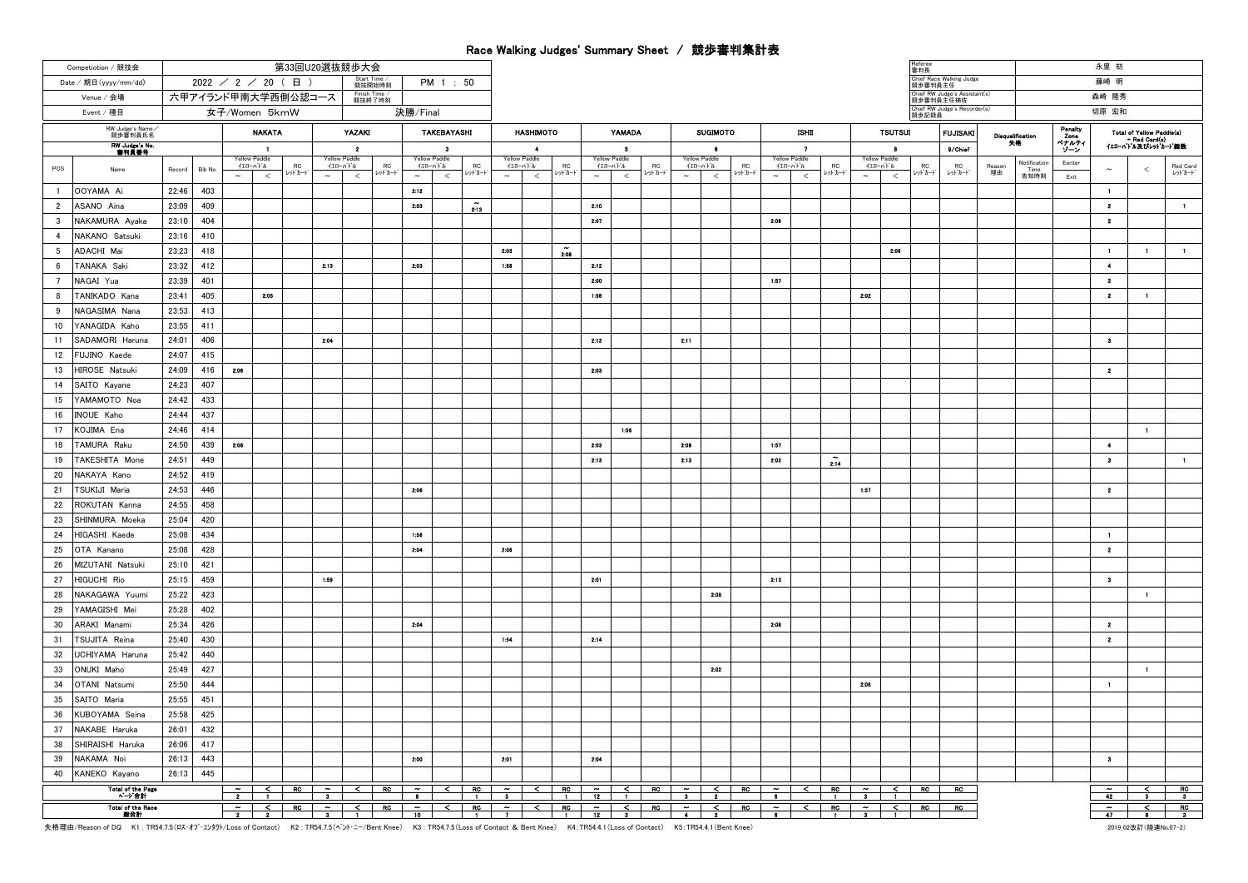## Race Walking Judges' Summary Sheet / 競歩審判集計表

|                | Competiotion / 競技会                | 第33回U20選抜競歩大会       |                  |                                   |                     |                                      |                                   |                                     |                                           |                                            |                      |                                          |                                  |                                    |        |                                                                                   |                                           |                                       |                |                                                     |       |                     |                                         |                | 審判長                                        |                                     |                         |                              |                | 永里 初                                  |                           |                                           |
|----------------|-----------------------------------|---------------------|------------------|-----------------------------------|---------------------|--------------------------------------|-----------------------------------|-------------------------------------|-------------------------------------------|--------------------------------------------|----------------------|------------------------------------------|----------------------------------|------------------------------------|--------|-----------------------------------------------------------------------------------|-------------------------------------------|---------------------------------------|----------------|-----------------------------------------------------|-------|---------------------|-----------------------------------------|----------------|--------------------------------------------|-------------------------------------|-------------------------|------------------------------|----------------|---------------------------------------|---------------------------|-------------------------------------------|
|                | Date / 期日 (yyyy/mm/dd)            | $2022$ / 2 / 20 (日) |                  |                                   |                     |                                      |                                   | Start Time /<br>競技開始時刻<br>PM 1 : 50 |                                           |                                            |                      |                                          |                                  |                                    |        |                                                                                   |                                           |                                       |                |                                                     |       |                     |                                         |                |                                            | Chief Race Walking Judge<br>競歩審判員主任 |                         |                              |                | 藤崎 明                                  |                           |                                           |
|                | Venue / 会場                        | 六甲アイランド甲南大学西側公認コース  |                  |                                   |                     |                                      |                                   | Finish Time /<br>競技終了時刻             |                                           |                                            |                      |                                          |                                  |                                    |        |                                                                                   |                                           |                                       |                |                                                     |       |                     |                                         |                | Chief RW Judge's Assistant(s)<br>競歩審判員主任補佐 |                                     |                         |                              | 森崎 隆秀          |                                       |                           |                                           |
|                | Event / 種目                        | 女子/Women 5kmW       |                  |                                   |                     |                                      |                                   |                                     | 決勝/Final                                  |                                            |                      |                                          |                                  |                                    |        |                                                                                   |                                           |                                       |                |                                                     |       |                     |                                         | 競歩記録員          | Chief RW Judge's Recorder(s)               |                                     |                         |                              | 切原 宏和          |                                       |                           |                                           |
|                | RW Judge's Name<br>競歩審判員氏名        | <b>NAKATA</b>       |                  |                                   |                     |                                      | YAZAKI<br>TAKEBAYASHI             |                                     |                                           |                                            |                      | <b>HASHIMOTO</b>                         |                                  |                                    | YAMADA |                                                                                   | <b>SUGIMOTO</b>                           |                                       |                |                                                     | ISHII |                     |                                         | <b>TSUTSUI</b> |                                            | <b>FUJISAKI</b>                     | <b>Disqualification</b> |                              | Penalty        |                                       | Total of Yellow Paddle(s) |                                           |
|                | <b>RW Judge's No</b><br>書判員番号     | -1                  |                  |                                   |                     | $\overline{2}$                       |                                   | $\overline{\mathbf{3}}$             |                                           |                                            | $\ddot{\phantom{1}}$ |                                          | - 5                              |                                    |        | $\bullet$                                                                         |                                           |                                       | $\overline{ }$ |                                                     |       |                     | 8                                       |                | 9/Chief                                    |                                     | 失格                      | Zone<br>ペナルティ<br>ソーン         |                | + Red Card(s)<br>イエローハト ル及びレット カート 総数 |                           |                                           |
| POS            | Name                              | Record              | Bib No<br>$\sim$ | Yellow Paddle<br>イエローバドル<br>$\,<$ | <b>RC</b><br>レットカート | $\sim$                               | Yellow Paddle<br>イエローバドル<br>$\,<$ | <b>RC</b><br>レット カート                | <b>Yellow Paddle</b><br>イエローバトル<br>$\sim$ | <b>RC</b><br>ットカード<br>$\,<$                | $\sim$               | <b>Yellow Paddle</b><br>イエローバドル<br>$\,<$ | <b>RC</b><br>レットカート              | Yellow Paddle<br>イエローバトル<br>$\sim$ | $\,<$  | RC<br>レットカート                                                                      | <b>Yellow Paddle</b><br>イエローバドル<br>$\sim$ | $\,<$                                 | RC<br>レットカード   | Yellow Paddle<br>イエローバトル<br>$\sim$                  | $\,<$ | <b>RC</b><br>レットカート | Yellow Paddle<br>イエローバトル<br>$\thicksim$ | $\,<$          | RC<br><b>レット・カート</b>                       | <b>RC</b><br>レットカート                 | Reason<br>理由            | Notification<br>Time<br>告知時刻 | Eenter<br>Exit | $\sim$                                | $\epsilon$                | Red Card<br>レットカード                        |
| $\overline{1}$ | OOYAMA Ai                         | 22:46               | 403              |                                   |                     |                                      |                                   |                                     | 2:12                                      |                                            |                      |                                          |                                  |                                    |        |                                                                                   |                                           |                                       |                |                                                     |       |                     |                                         |                |                                            |                                     |                         |                              |                | $\blacksquare$                        |                           |                                           |
| $\overline{2}$ | ASANO Aina                        | 23:09               | 409              |                                   |                     |                                      |                                   |                                     | 2:03                                      | $\mathbf{z}$ ia                            |                      |                                          |                                  | 2:10                               |        |                                                                                   |                                           |                                       |                |                                                     |       |                     |                                         |                |                                            |                                     |                         |                              |                | $\overline{2}$                        |                           | $\blacksquare$                            |
| 3              | NAKAMURA Ayaka                    | 23:10               | 404              |                                   |                     |                                      |                                   |                                     |                                           |                                            |                      |                                          |                                  | 2.07                               |        |                                                                                   |                                           |                                       |                | 2:06                                                |       |                     |                                         |                |                                            |                                     |                         |                              |                | $\mathbf{z}$                          |                           |                                           |
| $\overline{4}$ | NAKANO Satsuki                    | 23:16               | 410              |                                   |                     |                                      |                                   |                                     |                                           |                                            |                      |                                          |                                  |                                    |        |                                                                                   |                                           |                                       |                |                                                     |       |                     |                                         |                |                                            |                                     |                         |                              |                |                                       |                           |                                           |
| -5             | ADACHI Mai                        | 23:23               | 418              |                                   |                     |                                      |                                   |                                     |                                           |                                            | 2.03                 |                                          | $\tilde{\phantom{a}}$            |                                    |        |                                                                                   |                                           |                                       |                |                                                     |       |                     |                                         | 2.06           |                                            |                                     |                         |                              |                | $\blacksquare$                        | $\blacksquare$            | $\blacksquare$                            |
| -6             | TANAKA Saki                       | 23:32               | 412              |                                   |                     | 2:13                                 |                                   |                                     | 2:03                                      |                                            | 1:58                 |                                          | 2.08                             | 2:12                               |        |                                                                                   |                                           |                                       |                |                                                     |       |                     |                                         |                |                                            |                                     |                         |                              |                | $\overline{4}$                        |                           |                                           |
| $\overline{7}$ | NAGAI Yua                         | 23:39               | 401              |                                   |                     |                                      |                                   |                                     |                                           |                                            |                      |                                          |                                  | 2:00                               |        |                                                                                   |                                           |                                       |                | 1:57                                                |       |                     |                                         |                |                                            |                                     |                         |                              |                | $\mathbf{2}$                          |                           |                                           |
| 8              | TANIKADO Kana                     | 23:41               | 405              | 2:05                              |                     |                                      |                                   |                                     |                                           |                                            |                      |                                          |                                  | 1:58                               |        |                                                                                   |                                           |                                       |                |                                                     |       |                     | 2:02                                    |                |                                            |                                     |                         |                              |                | $\mathbf{2}$                          | $\blacksquare$            |                                           |
| 9              | NAGASIMA Nana                     | 23:53               | 413              |                                   |                     |                                      |                                   |                                     |                                           |                                            |                      |                                          |                                  |                                    |        |                                                                                   |                                           |                                       |                |                                                     |       |                     |                                         |                |                                            |                                     |                         |                              |                |                                       |                           |                                           |
| 10             | YANAGIDA Kaho                     | 23:55               | 411              |                                   |                     |                                      |                                   |                                     |                                           |                                            |                      |                                          |                                  |                                    |        |                                                                                   |                                           |                                       |                |                                                     |       |                     |                                         |                |                                            |                                     |                         |                              |                |                                       |                           |                                           |
| 11             | SADAMORI Haruna                   | 24:01               | 406              |                                   |                     | 2:04                                 |                                   |                                     |                                           |                                            |                      |                                          |                                  | 2:12                               |        |                                                                                   | 2:11                                      |                                       |                |                                                     |       |                     |                                         |                |                                            |                                     |                         |                              |                | $\bullet$                             |                           |                                           |
| 12             | FUJINO Kaede                      | 24:07               | 415              |                                   |                     |                                      |                                   |                                     |                                           |                                            |                      |                                          |                                  |                                    |        |                                                                                   |                                           |                                       |                |                                                     |       |                     |                                         |                |                                            |                                     |                         |                              |                |                                       |                           |                                           |
| 13             | HIROSE Natsuki                    | 24:09               | 416<br>2.00      |                                   |                     |                                      |                                   |                                     |                                           |                                            |                      |                                          |                                  | 2:03                               |        |                                                                                   |                                           |                                       |                |                                                     |       |                     |                                         |                |                                            |                                     |                         |                              |                | $\overline{2}$                        |                           |                                           |
| 14             | SAITO Kayane                      | 24:23               | 407              |                                   |                     |                                      |                                   |                                     |                                           |                                            |                      |                                          |                                  |                                    |        |                                                                                   |                                           |                                       |                |                                                     |       |                     |                                         |                |                                            |                                     |                         |                              |                |                                       |                           |                                           |
| 15             | YAMAMOTO Noa                      | 24:42               | 433              |                                   |                     |                                      |                                   |                                     |                                           |                                            |                      |                                          |                                  |                                    |        |                                                                                   |                                           |                                       |                |                                                     |       |                     |                                         |                |                                            |                                     |                         |                              |                |                                       |                           |                                           |
| 16             | <b>INOUE Kaho</b>                 | 24:44               | 437              |                                   |                     |                                      |                                   |                                     |                                           |                                            |                      |                                          |                                  |                                    |        |                                                                                   |                                           |                                       |                |                                                     |       |                     |                                         |                |                                            |                                     |                         |                              |                |                                       |                           |                                           |
| 17             | KOJIMA Ena                        | 24:46               | 414              |                                   |                     |                                      |                                   |                                     |                                           |                                            |                      |                                          |                                  |                                    | 1:56   |                                                                                   |                                           |                                       |                |                                                     |       |                     |                                         |                |                                            |                                     |                         |                              |                |                                       | $\mathbf{1}$              |                                           |
| 18             | TAMURA Raku                       | 24:50               | 439<br>2:06      |                                   |                     |                                      |                                   |                                     |                                           |                                            |                      |                                          |                                  | 2:03                               |        |                                                                                   | 2:08                                      |                                       |                | 1:57                                                |       |                     |                                         |                |                                            |                                     |                         |                              |                | $\ddot{\phantom{1}}$                  |                           |                                           |
| 19             | TAKESHITA Mone                    | 24:51               | 449              |                                   |                     |                                      |                                   |                                     |                                           |                                            |                      |                                          |                                  | 2:13                               |        |                                                                                   | 2:13                                      |                                       |                | 2:02                                                |       | 214                 |                                         |                |                                            |                                     |                         |                              |                | $\bullet$                             |                           | $\mathbf{1}$                              |
| 20             | NAKAYA Kano                       | 24:52               | 419              |                                   |                     |                                      |                                   |                                     |                                           |                                            |                      |                                          |                                  |                                    |        |                                                                                   |                                           |                                       |                |                                                     |       |                     |                                         |                |                                            |                                     |                         |                              |                |                                       |                           |                                           |
| 21             | TSUKIJI Maria                     | 24:53               | 446              |                                   |                     |                                      |                                   |                                     | 2:06                                      |                                            |                      |                                          |                                  |                                    |        |                                                                                   |                                           |                                       |                |                                                     |       |                     | 1:57                                    |                |                                            |                                     |                         |                              |                | $\overline{2}$                        |                           |                                           |
| 22             | ROKUTAN Kanna                     | 24:55               | 458              |                                   |                     |                                      |                                   |                                     |                                           |                                            |                      |                                          |                                  |                                    |        |                                                                                   |                                           |                                       |                |                                                     |       |                     |                                         |                |                                            |                                     |                         |                              |                |                                       |                           |                                           |
| 23             | SHINMURA Moeka                    | 25:04               | 420              |                                   |                     |                                      |                                   |                                     |                                           |                                            |                      |                                          |                                  |                                    |        |                                                                                   |                                           |                                       |                |                                                     |       |                     |                                         |                |                                            |                                     |                         |                              |                |                                       |                           |                                           |
| 24             | HIGASHI Kaede                     | 25:08               | 434              |                                   |                     |                                      |                                   |                                     | 1:56                                      |                                            |                      |                                          |                                  |                                    |        |                                                                                   |                                           |                                       |                |                                                     |       |                     |                                         |                |                                            |                                     |                         |                              |                | $\mathbf{1}$                          |                           |                                           |
| 25             | OTA Kanano                        | 25:08               | 428              |                                   |                     |                                      |                                   |                                     | 2:04                                      |                                            | 2:06                 |                                          |                                  |                                    |        |                                                                                   |                                           |                                       |                |                                                     |       |                     |                                         |                |                                            |                                     |                         |                              |                | $\overline{\mathbf{2}}$               |                           |                                           |
| 26             | MIZUTANI Natsuki                  | 25:10               | 421              |                                   |                     |                                      |                                   |                                     |                                           |                                            |                      |                                          |                                  |                                    |        |                                                                                   |                                           |                                       |                |                                                     |       |                     |                                         |                |                                            |                                     |                         |                              |                |                                       |                           |                                           |
| 27             | HIGUCHI Rio                       | 25:15               | 459              |                                   |                     | 1:59                                 |                                   |                                     |                                           |                                            |                      |                                          |                                  | 2:01                               |        |                                                                                   |                                           |                                       |                | 2:13                                                |       |                     |                                         |                |                                            |                                     |                         |                              |                | $\mathbf{3}$                          |                           |                                           |
| 28             | NAKAGAWA Yuumi                    | 25:22               | 423              |                                   |                     |                                      |                                   |                                     |                                           |                                            |                      |                                          |                                  |                                    |        |                                                                                   |                                           | 2:08                                  |                |                                                     |       |                     |                                         |                |                                            |                                     |                         |                              |                |                                       | $\blacksquare$            |                                           |
| 29             | YAMAGISHI Mei                     | 25:28               | 402              |                                   |                     |                                      |                                   |                                     |                                           |                                            |                      |                                          |                                  |                                    |        |                                                                                   |                                           |                                       |                |                                                     |       |                     |                                         |                |                                            |                                     |                         |                              |                |                                       |                           |                                           |
| 30             | ARAKI Manami                      | 25:34               | 426              |                                   |                     |                                      |                                   |                                     | 2:04                                      |                                            |                      |                                          |                                  |                                    |        |                                                                                   |                                           |                                       |                | 2:00                                                |       |                     |                                         |                |                                            |                                     |                         |                              |                | $\overline{2}$                        |                           |                                           |
| 31             | TSUJITA Reina                     | 25:40               | 430              |                                   |                     |                                      |                                   |                                     |                                           |                                            | 1:54                 |                                          |                                  | 2:14                               |        |                                                                                   |                                           |                                       |                |                                                     |       |                     |                                         |                |                                            |                                     |                         |                              |                | $\overline{2}$                        |                           |                                           |
| 32             | UCHIYAMA Haruna                   | 25:42               | 440              |                                   |                     |                                      |                                   |                                     |                                           |                                            |                      |                                          |                                  |                                    |        |                                                                                   |                                           |                                       |                |                                                     |       |                     |                                         |                |                                            |                                     |                         |                              |                |                                       |                           |                                           |
| 33             | ONUKI Maho                        | 25:49               | 427              |                                   |                     |                                      |                                   |                                     |                                           |                                            |                      |                                          |                                  |                                    |        |                                                                                   |                                           | 2:02                                  |                |                                                     |       |                     |                                         |                |                                            |                                     |                         |                              |                |                                       | $\mathbf{1}$              |                                           |
| 34             | OTANI Natsumi                     | 25:50               | 444              |                                   |                     |                                      |                                   |                                     |                                           |                                            |                      |                                          |                                  |                                    |        |                                                                                   |                                           |                                       |                |                                                     |       |                     | 2:08                                    |                |                                            |                                     |                         |                              |                | $\mathbf{1}$                          |                           |                                           |
| 35             | SAITO Maria                       | 25:55               | 451              |                                   |                     |                                      |                                   |                                     |                                           |                                            |                      |                                          |                                  |                                    |        |                                                                                   |                                           |                                       |                |                                                     |       |                     |                                         |                |                                            |                                     |                         |                              |                |                                       |                           |                                           |
| 36             | KUBOYAMA Seina                    | 25:58               | 425              |                                   |                     |                                      |                                   |                                     |                                           |                                            |                      |                                          |                                  |                                    |        |                                                                                   |                                           |                                       |                |                                                     |       |                     |                                         |                |                                            |                                     |                         |                              |                |                                       |                           |                                           |
| 37             | NAKABE Haruka                     | 26:01               | 432              |                                   |                     |                                      |                                   |                                     |                                           |                                            |                      |                                          |                                  |                                    |        |                                                                                   |                                           |                                       |                |                                                     |       |                     |                                         |                |                                            |                                     |                         |                              |                |                                       |                           |                                           |
| 38             | SHIRAISHI Haruka                  | 26:06               | 417              |                                   |                     |                                      |                                   |                                     |                                           |                                            |                      |                                          |                                  |                                    |        |                                                                                   |                                           |                                       |                |                                                     |       |                     |                                         |                |                                            |                                     |                         |                              |                |                                       |                           |                                           |
| 39             | NAKAMA Noi                        | 26:13               | 443              |                                   |                     |                                      |                                   |                                     | 2:00                                      |                                            | 2:01                 |                                          |                                  | 2:04                               |        |                                                                                   |                                           |                                       |                |                                                     |       |                     |                                         |                |                                            |                                     |                         |                              |                | $\bullet$                             |                           |                                           |
| 40             | KANEKO Kayano                     | 26:13               | 445              |                                   |                     |                                      |                                   |                                     |                                           |                                            |                      |                                          |                                  |                                    |        |                                                                                   |                                           |                                       |                |                                                     |       |                     |                                         |                |                                            |                                     |                         |                              |                | $\overline{\phantom{a}}$              |                           |                                           |
|                | <b>Total of the Page</b><br>ページ合計 |                     |                  |                                   |                     |                                      |                                   |                                     |                                           |                                            |                      |                                          |                                  |                                    |        |                                                                                   |                                           |                                       |                | $\overline{\phantom{a}}$ 6 $\overline{\phantom{a}}$ |       |                     |                                         |                |                                            | RO                                  |                         |                              |                | 42                                    |                           | $\overline{R}$<br>$\overline{\mathbf{3}}$ |
|                | Total of the Race<br>微合計          |                     |                  | $\sim$ T<br>$\frac{1}{2}$         |                     | $\overline{R}$ $\sim$ $\overline{a}$ | $\frac{1}{1}$                     | R                                   | 10                                        | $\frac{2}{10}$ $\frac{1}{1}$ $\frac{1}{7}$ |                      |                                          | $\leq$ RC $\,$<br>$\blacksquare$ |                                    |        | $\begin{array}{c c c c}\n\sim & \leq & \text{RC} \\ \hline\n12 & 3 & \end{array}$ |                                           | $\tilde{\gamma}$ $\sim$ $\sim$ $\sim$ | RC             | $\overline{ }$                                      |       |                     |                                         |                | $R$ C                                      | $\overline{R}$                      |                         |                              |                | 47                                    |                           | RC                                        |
|                |                                   |                     |                  |                                   |                     |                                      |                                   |                                     |                                           |                                            |                      |                                          |                                  |                                    |        |                                                                                   |                                           |                                       |                |                                                     |       |                     |                                         |                |                                            |                                     |                         |                              |                |                                       |                           |                                           |

失格理由/Reason of DQ K1 : TR54.7.5(ロス・オブ・コンタケ/Loss of Contact) K2 : TR54.7.5(ヘント・ニー/Bent Knee) K3 : TR54.7.5(Loss of Contact & Bent Knee) K4:TR54.4.1(Loss of Contact) K5:TR54.4.1(Bent Knee)

2019\_02改訂(陸連No.07-2)